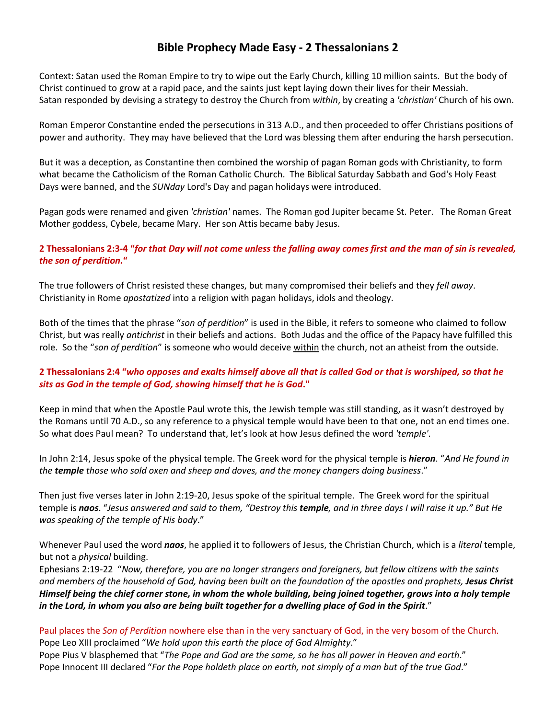# **Bible Prophecy Made Easy - 2 Thessalonians 2**

Context: Satan used the Roman Empire to try to wipe out the Early Church, killing 10 million saints. But the body of Christ continued to grow at a rapid pace, and the saints just kept laying down their lives for their Messiah. Satan responded by devising a strategy to destroy the Church from *within*, by creating a *'christian'* Church of his own.

Roman Emperor Constantine ended the persecutions in 313 A.D., and then proceeded to offer Christians positions of power and authority. They may have believed that the Lord was blessing them after enduring the harsh persecution.

But it was a deception, as Constantine then combined the worship of pagan Roman gods with Christianity, to form what became the Catholicism of the Roman Catholic Church. The Biblical Saturday Sabbath and God's Holy Feast Days were banned, and the *SUNday* Lord's Day and pagan holidays were introduced.

Pagan gods were renamed and given *'christian'* names. The Roman god Jupiter became St. Peter. The Roman Great Mother goddess, Cybele, became Mary. Her son Attis became baby Jesus.

### **2 Thessalonians 2:3-4 "***for that Day will not come unless the falling away comes first and the man of sin is revealed, the son of perdition.***"**

The true followers of Christ resisted these changes, but many compromised their beliefs and they *fell away*. Christianity in Rome *apostatized* into a religion with pagan holidays, idols and theology.

Both of the times that the phrase "*son of perdition*" is used in the Bible, it refers to someone who claimed to follow Christ, but was really *antichrist* in their beliefs and actions. Both Judas and the office of the Papacy have fulfilled this role. So the "*son of perdition*" is someone who would deceive within the church, not an atheist from the outside.

## **2 Thessalonians 2:4 "***who opposes and exalts himself above all that is called God or that is worshiped, so that he sits as God in the temple of God, showing himself that he is God***."**

Keep in mind that when the Apostle Paul wrote this, the Jewish temple was still standing, as it wasn't destroyed by the Romans until 70 A.D., so any reference to a physical temple would have been to that one, not an end times one. So what does Paul mean? To understand that, let's look at how Jesus defined the word *'temple'*.

In John 2:14, Jesus spoke of the physical temple. The Greek word for the physical temple is *hieron*. "*And He found in the temple those who sold oxen and sheep and doves, and the money changers doing business*."

Then just five verses later in John 2:19-20, Jesus spoke of the spiritual temple. The Greek word for the spiritual temple is *naos*. "*Jesus answered and said to them, "Destroy this temple, and in three days I will raise it up." But He was speaking of the temple of His body*."

Whenever Paul used the word *naos*, he applied it to followers of Jesus, the Christian Church, which is a *literal* temple, but not a *physical* building.

Ephesians 2:19-22 "*Now, therefore, you are no longer strangers and foreigners, but fellow citizens with the saints and members of the household of God, having been built on the foundation of the apostles and prophets, Jesus Christ Himself being the chief corner stone, in whom the whole building, being joined together, grows into a holy temple in the Lord, in whom you also are being built together for a dwelling place of God in the Spirit*."

Paul places the *Son of Perdition* nowhere else than in the very sanctuary of God, in the very bosom of the Church. Pope Leo XIII proclaimed "*We hold upon this earth the place of God Almighty*." Pope Pius V blasphemed that "*The Pope and God are the same, so he has all power in Heaven and earth*." Pope Innocent III declared "*For the Pope holdeth place on earth, not simply of a man but of the true God*."